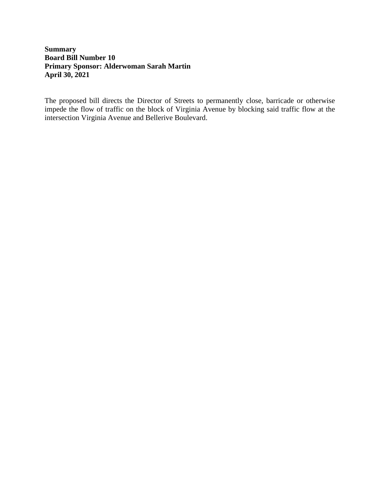## **Summary Board Bill Number 10 Primary Sponsor: Alderwoman Sarah Martin April 30, 2021**

The proposed bill directs the Director of Streets to permanently close, barricade or otherwise impede the flow of traffic on the block of Virginia Avenue by blocking said traffic flow at the intersection Virginia Avenue and Bellerive Boulevard.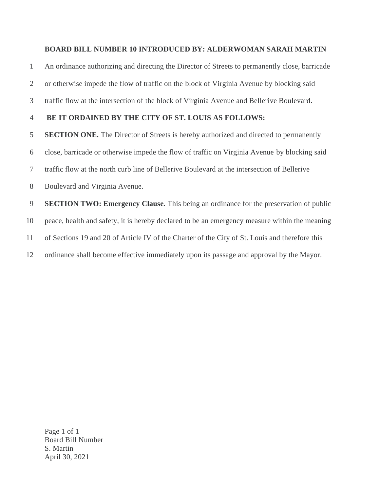## **BOARD BILL NUMBER 10 INTRODUCED BY: ALDERWOMAN SARAH MARTIN**

An ordinance authorizing and directing the Director of Streets to permanently close, barricade

or otherwise impede the flow of traffic on the block of Virginia Avenue by blocking said

traffic flow at the intersection of the block of Virginia Avenue and Bellerive Boulevard.

## **BE IT ORDAINED BY THE CITY OF ST. LOUIS AS FOLLOWS:**

**SECTION ONE.** The Director of Streets is hereby authorized and directed to permanently

close, barricade or otherwise impede the flow of traffic on Virginia Avenue by blocking said

traffic flow at the north curb line of Bellerive Boulevard at the intersection of Bellerive

Boulevard and Virginia Avenue.

 **SECTION TWO: Emergency Clause.** This being an ordinance for the preservation of public peace, health and safety, it is hereby declared to be an emergency measure within the meaning of Sections 19 and 20 of Article IV of the Charter of the City of St. Louis and therefore this ordinance shall become effective immediately upon its passage and approval by the Mayor.

Page 1 of 1 Board Bill Number S. Martin April 30, 2021